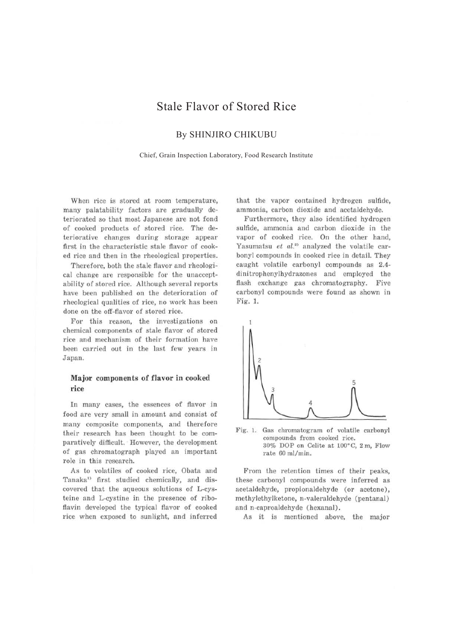# Stale Flavor of Stored Rice

## By SHINJIRO CHIKUBU

Chief, Grain Inspection Laboratory, Food Research Institute

When rice is stored at room temperature, many palatability factors are gradually deteriorated so that most Japanese are not fond of cooked products of stored rice. The deteriorative changes during storage appear first in the characteristic stale flavor of cooked rice and then in the rheological properties.

Therefore, both the stale flavor and rheological change are responsible for the unacceptability of stored rice. Although several reports have been published on the deterioration of rheological qualities of rice, no work has been done on the off-flavor of stored rice.

For this reason, the investigations on chemical components of stale flavor of stored rice and mechanism of their formation have been carried out in the last few years in Japan.

### **Major** components of flavor in cooked rice

In many cases, the essences of flavor in food arc very small in amount and consist of many composite components, and therefore their research has been thought to be comparatively difficult. However, the development of gas chromatograph played an important role in this research.

As to volatiles of cooked rice, Obata and Tanaka<sup>1</sup> first studied chemically, and discovered that the aqueous solutions of L-cysteine and L-cystine in the presence of riboflavin developed the typical flavor of cooked rice when exposed to sunlight, and inferred that the vapor contained hydrogen sulfide, ammonia, carbon dioxide and acetaldehyde.

Furthermore, they also identified hydrogen sulfide, ammonia and carbon dioxide in the vapor of cooked rice. On the other hand, Yasumatsu *et al.<sup>2)</sup>* analyzed the volatile carbonyl compounds in cooked rice in detail. They caught volatile carbonyl compounds as 2.4 dinitrophenylhydrazones and employed the flash exchange gas chromatography. Five carbonyl compounds were found as shown in Fig. 1.



Fig. 1. Gas chromatogram of volatile carbonyl compounds from cooked rice. 30% DOP on Celite at lOO"C, 2 m, Flow rate 60 ml/min.

From the retention times of their peaks, these carbonyl compounds were inferred as acetaldehyde, propionaldehyde ( or acetone), mcthylethylkctone, n-valeraldehydc (pentanal) and n-caproaldehyde ( hexanal).

As it is mentioned above, the major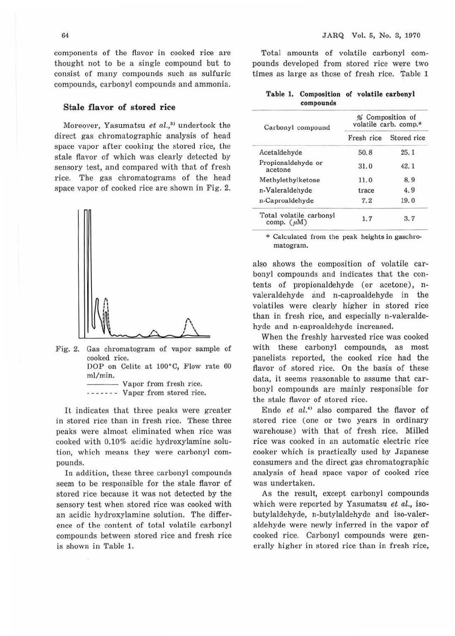components of the flavor in cooked rice are thought not to be a single compound but to consist of many compounds such as sulfuric compounds, carbonyl compounds and ammonia.

#### Stale flavor of stored rice

Moreover, Yasumatsu et al.,<sup>31</sup> undertook the direct gas chromatographic analysis of head space vapor after cooking the stored rice, the stale flavor of which was clearly detected by sensory test, and compared with that of fresh rice. The gas chromatograms of the head space vapor of cooked rice are shown in Fig. 2.



Fig. 2. Gas chromatogram of vapor sample of cooked rice. DOP on Celite at 100°C, Flow rate 60

ml/min.

- Vapor from fresh rice. - - - - - - - Vapor from stored rice.

It indicates that three peaks were greater in stored rice than in fresh rice. These three peaks were almost eliminated when rice was cooked with 0.10% acidic hydroxylamine solution, which means they were carbonyl compounds.

In addition, these three carbonyl compounds seem to be responsible for the stale flavor of stored rice because it was not detected by the sensory test when stored rice was cooked with an acidic hydroxylamine solution. The difference of the content of total volatile carbonyl compounds between stored rice and fresh rice is shown in Table 1.

Total amounts of volatile carbonyl compounds developed from stored rice were two times as large as those of fresh rice. Table 1

#### **Table 1. Composition of volatile carbonyl compounds**

| Carbonyl compound                          | % Composition of<br>volatile carb. comp.*                 |             |  |  |  |  |
|--------------------------------------------|-----------------------------------------------------------|-------------|--|--|--|--|
|                                            | Fresh rice<br>50.8<br>31.0<br>11.0<br>trace<br>7.2<br>1.7 | Stored rice |  |  |  |  |
| Acetaldehyde                               |                                                           | 25.1        |  |  |  |  |
| Propionaldehyde or<br>acetone              |                                                           | 42.1        |  |  |  |  |
| Methylethylketone                          |                                                           | 8.9         |  |  |  |  |
| n-Valeraldehyde                            |                                                           | 4.9         |  |  |  |  |
| n-Caproaldehyde                            |                                                           | 19.0        |  |  |  |  |
| Total volatile carbonyl<br>comp. $(\mu M)$ |                                                           | 3.7         |  |  |  |  |

\* Calculated from the peak heights in gaschromatogram.

also shows the composition of volatile carbonyl compounds and indicates that the contents of propionaldehyde (or acetone), nvaleraldehyde and n-caproaldehyde in the volatiles were clearly higher in stored rice than in fresh rice, and especially n-valeraldehyde and n-caproaldehyde increased.

When the freshly harvested rice was cooked with these carbonyl compounds, as most panelists reported, the cooked rice had the flavor of stored rice. On the basis of these data, it seems reasonable to assume that carbonyl compounds are mainly responsible for the stale flavor of stored rice.

Endo et al.<sup>1</sup> also compared the flavor of stored rice (one or two years in ordinary warehouse) with that of fresh rice. Milled rice was cooked in an automatic electric rice cooker which is practically used by Japanese consumers and the direct gas chromatographic analysis of head space vapor of cooked rice was undertaken.

As the result, except carbonyl compounds which were reported by Yasumatsu *et* al., isobutylaldehyde, n-butylaldehyde and iso-valeraldehyde were newly inferred in the vapor of cooked rice. Carbonyl compounds were generally higher in stored rice than in fresh rice,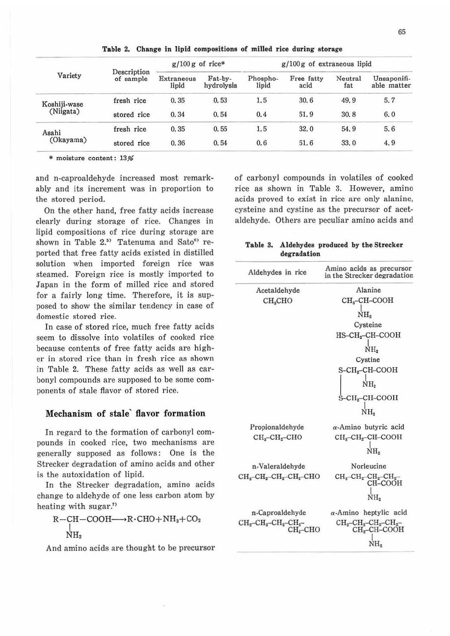|              |                          | $g/100 g$ of rice*  |                       | $g/100 g$ of extraneous lipid |                    |                |                            |  |
|--------------|--------------------------|---------------------|-----------------------|-------------------------------|--------------------|----------------|----------------------------|--|
| Variety      | Description<br>of sample | Extraneous<br>lipid | Fat-by-<br>hydrolysis | Phospho-<br>lipid             | Free fatty<br>acid | Neutral<br>fat | Unsaponifi-<br>able matter |  |
| Koshiji-wase | fresh rice               | 0.35                | 0.53                  | 1.5                           | 30.6               | 49.9           | 5.7                        |  |
| (Niigata)    | stored rice              | 0.34                | 0.54                  | 0.4                           | 51.9               | 30.8           | 6.0                        |  |
| Asahi        | fresh rice               | 0.35                | 0.55                  | 1.5                           | 32.0               | 54.9           | 5.6                        |  |
| (Okayama)    | stored rice              | 0.36                | 0.54                  | 0, 6                          | 51.6               | 33.0           | 4.9                        |  |

**Table** 2. **Change** in **lipid compositions of milled rice during storage** 

\* moisture content: 13%

and n-caproaldehyde increased most remarkably and its increment was in proportion to the stored period.

On the other hand, free fatty acids increase clearly during storage of rice. Changes in lipid compositions of rice during storage are shown in Table  $2.5$ <sup>3</sup> Tatenuma and Sato<sup>6</sup><sup>3</sup> reported that free fatty acids existed in distilled solution when imported foreign rice was steamed. Foreign rice is mostly imported to Japan in the form of milled rice and stored for a fairly long time. Therefore, it is supposed to show the similar tendency in case of domestic stored rice.

In case of stored rice, much free fatty acids seem to dissolve into volatiles of cooked rice because contents of free fatty acids are higher in stored rice than in fresh rice as shown in Table 2. These fatty acids as well as carbonyl compounds are supposed to be some components of stale flavor of stored rice.

#### **Mechanism of stale· flavor formation**

In regard to the formation of carbonyl compounds in cooked rice, two mechanisms are generally supposed as follows: One is the Strecker degradation of amino acids and other is the autoxidation of lipid.

In the Strecker degradation, amino acids change to aldehyde of one less carbon atom by heating with sugar."

$$
\begin{array}{c}\nR-\text{CH}-\text{COOH}\longrightarrow R\cdot\text{CHO}+\text{NH}_3+\text{CO}_2 \\
\downarrow \\
\text{NH}_2\n\end{array}
$$

And amino acids are thought to be precursor

of carbonyl compounds in volatiles of cooked rice as shown in Table 3. However, amino acids proved to exist in rice are only alanine, cysteine and cystine as the precursor of acetaldehyde. Others are peculiar amino acids and

|             |  | Table 3. Aldehydes produced by the Strecker |
|-------------|--|---------------------------------------------|
| degradation |  |                                             |

| Aldehydes in rice                                                         | Amino acids as precursor<br>in the Strecker degradation                       |
|---------------------------------------------------------------------------|-------------------------------------------------------------------------------|
| Acetaldehyde                                                              | Alanine                                                                       |
| CH <sub>s</sub> CHO                                                       | CH <sub>3</sub> -CH-COOH<br>NH.                                               |
|                                                                           |                                                                               |
|                                                                           | Cysteine                                                                      |
|                                                                           | $HS$ -CH <sub>2</sub> -CH-COOH                                                |
|                                                                           | NH.                                                                           |
|                                                                           | Cystine                                                                       |
|                                                                           | S-CH <sub>2</sub> -CH-COOH                                                    |
|                                                                           | NH <sub>2</sub>                                                               |
|                                                                           | $S$ -CH <sub>2</sub> -CH-COOH                                                 |
|                                                                           | NH,                                                                           |
| Propionaldehyde                                                           | $\alpha$ -Amino butyric acid                                                  |
| $CH3-CH2-CHO$                                                             | $CHa-CH2-CH-COOH$                                                             |
|                                                                           | NH <sub>2</sub>                                                               |
| n-Valeraldehyde                                                           | Norleucine                                                                    |
| $CH3-CH2-CH2-CH2-CHO$                                                     | $CH3-CH2-CH2-CH2-$<br>CH-COOH<br>NH.                                          |
| n-Caproaldehyde                                                           | $\alpha$ -Amino heptylic acid                                                 |
| $CH_2$ -CH <sub>2</sub> -CH <sub>2</sub> -CH <sub>2</sub> -<br>$CH2$ -CHO | $CH_2$ -CH <sub>2</sub> -CH <sub>2</sub> -CH <sub>2</sub> -<br>$CH2$ -CH-COOH |
|                                                                           | NH,                                                                           |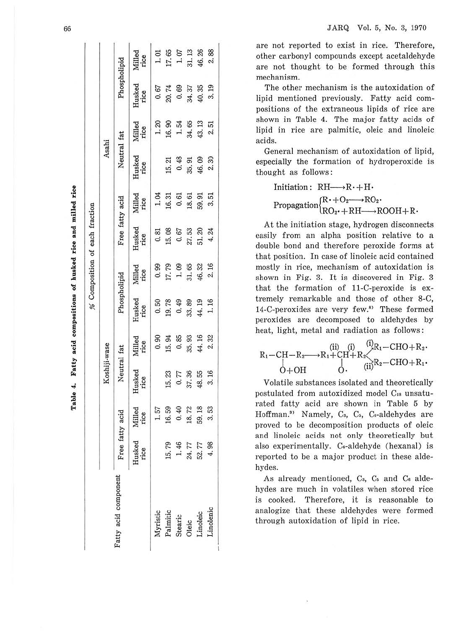|                                                      |                 |                |                |                |                              |                | % Composition of each fraction  |                          |                                              |                                                       |                                                           |                                            |
|------------------------------------------------------|-----------------|----------------|----------------|----------------|------------------------------|----------------|---------------------------------|--------------------------|----------------------------------------------|-------------------------------------------------------|-----------------------------------------------------------|--------------------------------------------|
|                                                      |                 |                | Koshiji-wase   |                |                              |                |                                 |                          | Asahi                                        |                                                       |                                                           |                                            |
| Fatty acid component                                 | Free fatty acid |                | Neutral fat    |                | Phospholipid                 |                | Free fatty acid                 |                          | Neutral fat                                  |                                                       | Phospholipid                                              |                                            |
|                                                      | Husked<br>rice  | Milled<br>rice | Husked<br>rice | Milled<br>rice | Husked<br>rice               | Milled<br>rice | Husked<br>rice                  | Milled<br>rice           | Husked<br>rice                               | Milled<br>rice                                        | Husked<br>rice                                            | Milled<br>rice                             |
|                                                      |                 | 1.57           |                | 0.90           | 0.50                         | 0.99           |                                 |                          |                                              |                                                       | 0.67                                                      |                                            |
| Myristic<br>Palmitic<br>Stearic<br>Oleic<br>Linoleic |                 | 16.59          | 15.23          | 15.94          | 19.78<br>0.49                | 17.79<br>1.09  | 0.81<br>15.66<br>0.51.20<br>4.4 | ង<br>កាំង<br>កាំង ដូន ដូ |                                              | 1 1 2 3 4 5 5 7<br>1 1 5 4 5 5 7 5 7<br>1 7 9 5 7 9 7 |                                                           | $1.01$<br>17.65<br>18.28<br>19.38<br>19.38 |
|                                                      | 15.79<br>1.46   | 0.40           | 0.77           | 0.85           |                              |                |                                 |                          |                                              |                                                       |                                                           |                                            |
|                                                      | 24.77<br>52.77  | 18.72          | 37.36          | 35.93          | $33.99$<br>$44.16$<br>$1.16$ | 31.65<br>46.32 |                                 |                          | 15 43 51 82<br>15 45 16 92 63<br>16 92 63 64 |                                                       | $20.69$<br>$0.37$<br>$0.31$<br>$0.31$<br>$0.31$<br>$0.31$ |                                            |
|                                                      |                 | 59.18          | 48.55          | 44.16          |                              |                |                                 |                          |                                              |                                                       |                                                           |                                            |
| inolenic                                             |                 | 3.53           | 3.16           | 2.32           |                              | 2.16           |                                 |                          |                                              |                                                       |                                                           |                                            |

are not reported to exist in rice. Therefore, other carbonyl compounds except acetaldehyde are not thought to be formed through this mechanism.

The other mechanism is the autoxidation of lipid mentioned previously. Fatty acid compositions of the extraneous lipids of rice are shown in Table 4. The major fatty acids of lipid in rice are palmitic, oleic and linoleic acids.

General mechanism of autoxidation of lipid, especially the formation of hydroperoxide is thought as follows:

Initiation:  $RH \longrightarrow R \cdot + H \cdot$ Propagation $\begin{cases} R\cdot + O_2 \longrightarrow RO_2 \cdot \\ RO_2 \cdot + RH \longrightarrow ROOH + R \cdot \end{cases}$ 

At the initiation stage, hydrogen disconnects easily from an alpha position relative to a double bond and therefore peroxide forms at that position. In case of linoleic acid contained mostly in rice, mechanism of autoxidation is shown in Fig. 3. It is discovered in Fig. 3 that the formation of 11-C-peroxide is extremely remarkable and those of other 8-C, 14-C-peroxides are very few.<sup>8)</sup> These formed peroxides are decomposed to aldehydes by heat, light, metal and radiation as follows:

$$
\begin{array}{ccc}\n\text{R}_1-\text{CH}-\text{R}_2 \longrightarrow \text{R}_1+\text{CH}+\text{R}_2 \\
\downarrow & \downarrow & \downarrow \\
\downarrow & \downarrow & \downarrow \\
\downarrow & \downarrow & \downarrow \\
\downarrow & \downarrow & \downarrow \\
\downarrow & \downarrow & \downarrow \\
\downarrow & \downarrow & \downarrow \\
\downarrow & \downarrow & \downarrow \\
\downarrow & \downarrow & \downarrow \\
\downarrow & \downarrow & \downarrow \\
\downarrow & \downarrow & \downarrow \\
\downarrow & \downarrow & \downarrow \\
\downarrow & \downarrow & \downarrow & \downarrow \\
\downarrow & \downarrow & \downarrow & \downarrow \\
\downarrow & \downarrow & \downarrow & \downarrow \\
\downarrow & \downarrow & \downarrow & \downarrow \\
\downarrow & \downarrow & \downarrow & \downarrow \\
\downarrow & \downarrow & \downarrow & \downarrow & \downarrow \\
\downarrow & \downarrow & \downarrow & \downarrow & \downarrow \\
\downarrow & \downarrow & \downarrow & \downarrow & \downarrow & \downarrow \\
\downarrow & \downarrow & \downarrow & \downarrow & \downarrow & \downarrow \\
\downarrow & \downarrow & \downarrow & \downarrow & \downarrow & \downarrow \\
\downarrow & \downarrow & \downarrow & \downarrow & \downarrow & \downarrow \\
\downarrow & \downarrow & \downarrow & \downarrow & \downarrow & \downarrow \\
\downarrow & \downarrow & \downarrow & \downarrow & \downarrow & \downarrow \\
\downarrow & \downarrow & \downarrow & \downarrow & \downarrow & \downarrow \\
\downarrow & \downarrow & \downarrow & \downarrow & \downarrow & \downarrow & \downarrow \\
\downarrow & \downarrow & \downarrow & \downarrow & \downarrow & \downarrow & \downarrow & \downarrow \\
\downarrow & \downarrow & \downarrow & \downarrow & \downarrow & \downarrow & \downarrow & \downarrow \\
\downarrow & \downarrow & \downarrow & \downarrow & \downarrow & \downarrow & \downarrow & \downarrow \\
\downarrow & \downarrow & \downarrow & \downarrow & \downarrow & \downarrow & \downarrow & \downarrow \\
\downarrow & \downarrow & \downarrow & \downarrow & \downarrow & \downarrow & \downarrow & \downarrow \\
\downarrow & \downarrow & \downarrow & \downarrow & \downarrow & \downarrow & \downarrow & \downarrow \\
\downarrow & \downarrow & \downarrow & \downarrow & \downarrow & \downarrow & \downarrow & \downarrow \\
\downarrow & \downarrow & \downarrow & \downarrow & \downarrow & \downarrow & \downarrow & \downarrow \\
\downarrow & \downarrow & \downarrow
$$

Volatile substances isolated and theoretically postulated from autoxidized model C1s unsaturated fatty acid are shown in Table 5 by Hoffman.<sup>9)</sup> Namely, C<sub>3</sub>, C<sub>5</sub>, C<sub>6</sub>-aldehydes are proved to be decomposition products of oleic and linoleic acids not only theoretically but also experimentally. C<sub>6</sub>-aldehyde (hexanal) is reported to be a major product in these aldehydes.

As already mentioned, C<sub>3</sub>, C<sub>5</sub> and C<sub>6</sub> aldehydes are much in volatiles when stored rice Therefore, it is reasonable to is cooked. analogize that these aldehydes were formed through autoxidation of lipid in rice.

Table 4. Fatty acid compositions of husked rice and milled rice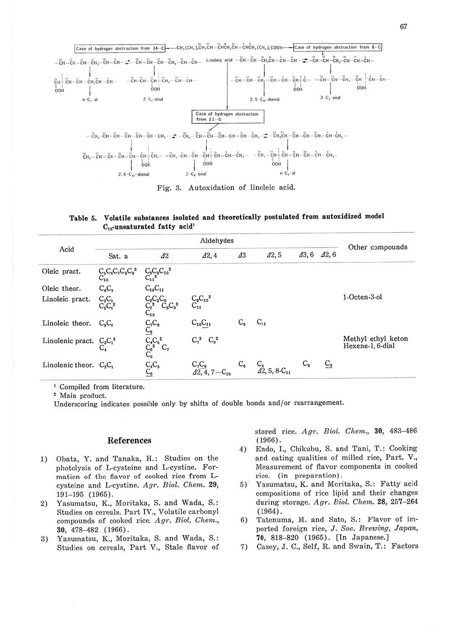

Fig. 3. Autoxidation of linoleic acid.

|                                  |  | Table 5. Volatile substances isolated and theoretically postulated from autoxidized mode. |  |  |
|----------------------------------|--|-------------------------------------------------------------------------------------------|--|--|
| $C_{18}$ -unsaturated fatty acid |  |                                                                                           |  |  |

|                             | Aldehydes                                |                                                       |                              |            |                                         |    |                             | Other compounds                        |
|-----------------------------|------------------------------------------|-------------------------------------------------------|------------------------------|------------|-----------------------------------------|----|-----------------------------|----------------------------------------|
| Acid                        | Sat. a                                   | $\Delta 2$                                            | 42,4                         | $\Delta 3$ | 42,5                                    |    | $\Delta 3, 6$ $\Delta 2, 6$ |                                        |
| Oleic pract.                | $C_5C_6C_7C_3C_9^2$<br>$\mathrm{C}_{10}$ | $C_8C_9C_{10}^2$                                      |                              |            |                                         |    |                             |                                        |
| Oleic theor.                | $C_8C_9$                                 | $C_{10}C_{11}$                                        |                              |            |                                         |    |                             |                                        |
| Linoleic pract.             | $C_2C_3$<br>$C_5C_6^2$                   | $C_2^cC_6C_6^cC_8^c$<br>C <sub>10</sub><br>$C_8C_9^2$ | $\frac{C_9C_{10}^2}{C_{11}}$ |            |                                         |    |                             | 1-Octen-3-ol                           |
| Linoleic theor.             | $C_5C_6$                                 | $C_7C_8$                                              | $C_{10}C_{11}$               | $C_{9}$    | $C_{11}$                                |    |                             |                                        |
| Linolenic pract. $C_2C_3^2$ |                                          | $C_4C_5^2$<br>$C_6^2$<br>$C_9$<br>$C_7$               | $C_7^2$<br>$C_9^2$           |            |                                         |    |                             | Methyl ethyl keton<br>Hexene-1, 6-dial |
| Linolenic theor. $C_2C_3$   |                                          | $\mathop{C_4 C_s}\limits_{C_6}$                       | $C_7C_8$                     | $C_6$      | $C_8$<br>$\angle 42, 5, 8 \cdot C_{11}$ | Ċ. | $C_{9}$                     |                                        |

<sup>1</sup> Compiled from literature.

<sup>2</sup> Main product.

Underscoring indicates possible only by shifts of double bonds and/or rearrangement.

#### References

- 1) Obata, Y. and Tanaka, H.: Studies on the photolysis of L-cysteine and L-cystine. Formation of the flavor of cooked rice from Lcysteine and L-cystine. Agr. Biol. Chem. 29,  $191 - 195$  (1965).
- Yasumatsu, K., Moritaka, S. and Wada, S.:  $2)$ Studies on cereals. Part IV., Volatile carbonyl compounds of cooked rice. Agr. Biol. Chem., 30, 478-482 (1966).
- Yasumatsu, K., Moritaka, S. and Wada, S.: 3) Studies on cereals, Part V., Stale flavor of

stored rice. Agr. Biol. Chem., 30, 483-486  $(1966)$ .

- Endo, I., Chikubu, S. and Tani, T.: Cooking 4) and eating qualities of milled rice, Part. V., Measurement of flavor components in cooked rice. (in preparation).
- $5)$ Yasumatsu, K. and Moritaka, S.: Fatty acid compositions of rice lipid and their changes during storage. Agr. Biol. Chem. 28, 257-264  $(1964)$ .
- Tatenuma, M. and Sato, S.: Flavor of im-6) ported foreign rice, J. Soc. Brewing, Japan, 70, 818-820 (1965). [In Japanese.]
- Casey, J. C., Self, R. and Swain, T.: Factors 7)